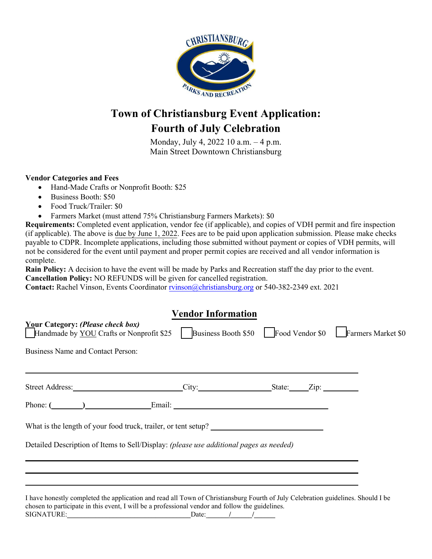

## **Town of Christiansburg Event Application: Fourth of July Celebration**

Monday, July 4, 2022 10 a.m. – 4 p.m. Main Street Downtown Christiansburg

### **Vendor Categories and Fees**

- Hand-Made Crafts or Nonprofit Booth: \$25
- Business Booth: \$50
- Food Truck/Trailer: \$0
- Farmers Market (must attend 75% Christiansburg Farmers Markets): \$0

**Requirements:** Completed event application, vendor fee (if applicable), and copies of VDH permit and fire inspection (if applicable). The above is due by June 1, 2022. Fees are to be paid upon application submission. Please make checks payable to CDPR. Incomplete applications, including those submitted without payment or copies of VDH permits, will not be considered for the event until payment and proper permit copies are received and all vendor information is complete.

**Rain Policy:** A decision to have the event will be made by Parks and Recreation staff the day prior to the event. **Cancellation Policy:** NO REFUNDS will be given for cancelled registration.

**Contact:** Rachel Vinson, Events Coordinator [rvinson@christiansburg.org](mailto:rvinson@christiansburg.org) or 540-382-2349 ext. 2021

| <b>Vendor Information</b>                                                                                                                                                                                                           |  |  |                                                        |
|-------------------------------------------------------------------------------------------------------------------------------------------------------------------------------------------------------------------------------------|--|--|--------------------------------------------------------|
| <b>Your Category: (Please check box)</b><br><b>Handmade by YOU Crafts or Nonprofit \$25</b>                                                                                                                                         |  |  | Business Booth \$50 Food Vendor \$0 Farmers Market \$0 |
| Business Name and Contact Person:                                                                                                                                                                                                   |  |  |                                                        |
| Street Address: City: City: State: Zip: City:                                                                                                                                                                                       |  |  |                                                        |
|                                                                                                                                                                                                                                     |  |  |                                                        |
|                                                                                                                                                                                                                                     |  |  |                                                        |
| Detailed Description of Items to Sell/Display: (please use additional pages as needed)                                                                                                                                              |  |  |                                                        |
|                                                                                                                                                                                                                                     |  |  |                                                        |
|                                                                                                                                                                                                                                     |  |  |                                                        |
| I have honestly completed the application and read all Town of Christiansburg Fourth of July Celebration guidelines. Should I be<br>chosen to participate in this event, I will be a professional vendor and follow the guidelines. |  |  |                                                        |

SIGNATURE: Date: